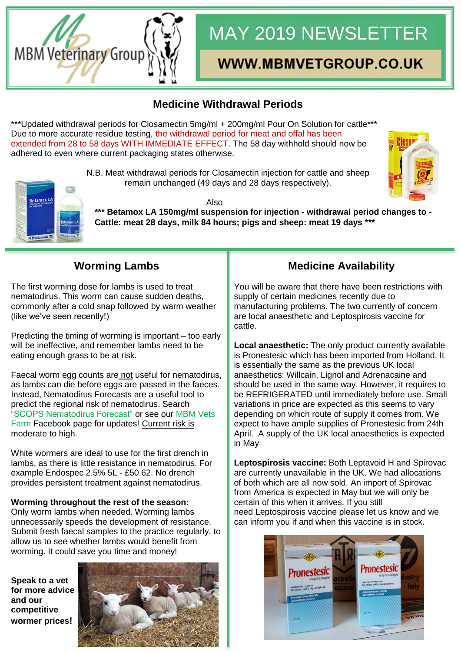# **MBM Veterinary Group**

## MAY 2019 NEWSLETTER

### WWW.MBMVETGROUP.CO.UK

#### **Medicine Withdrawal Periods**

\*\*\*Updated withdrawal periods for Closamectin 5mg/ml + 200mg/ml Pour On Solution for cattle\*\*\* Due to more accurate residue testing, the withdrawal period for meat and offal has been extended from 28 to 58 days WITH IMMEDIATE EFFECT. The 58 day withhold should now be adhered to even where current packaging states otherwise.



N.B. Meat withdrawal periods for Closamectin injection for cattle and sheep remain unchanged (49 days and 28 days respectively).



Also **\*\*\* Betamox LA 150mg/ml suspension for injection - withdrawal period changes to - Cattle: meat 28 days, milk 84 hours; pigs and sheep: meat 19 days \*\*\***

#### **Worming Lambs**

The first worming dose for lambs is used to treat nematodirus. This worm can cause sudden deaths, commonly after a cold snap followed by warm weather (like we've seen recently!)

Predicting the timing of worming is important – too early will be ineffective, and remember lambs need to be eating enough grass to be at risk.

Faecal worm egg counts are not useful for nematodirus, as lambs can die before eggs are passed in the faeces. Instead, Nematodirus Forecasts are a useful tool to predict the regional risk of nematodirus. Search "SCOPS Nematodirus Forecast" or see our MBM Vets Farm Facebook page for updates! Current risk is moderate to high.

White wormers are ideal to use for the first drench in lambs, as there is little resistance in nematodirus. For example Endospec 2.5% 5L - £50.62. No drench provides persistent treatment against nematodirus.

**Worming throughout the rest of the season:** Only worm lambs when needed. Worming lambs unnecessarily speeds the development of resistance. Submit fresh faecal samples to the practice regularly, to allow us to see whether lambs would benefit from worming. It could save you time and money!

**Speak to a vet for more advice and our competitive wormer prices!**



#### **Medicine Availability**

You will be aware that there have been restrictions with supply of certain medicines recently due to manufacturing problems. The two currently of concern are local anaesthetic and Leptospirosis vaccine for cattle.

**Local anaesthetic:** The only product currently available is Pronestesic which has been imported from Holland. It is essentially the same as the previous UK local anaesthetics: Willcain, Lignol and Adrenacaine and should be used in the same way. However, it requires to be REFRIGERATED until immediately before use. Small variations in price are expected as this seems to vary depending on which route of supply it comes from. We expect to have ample supplies of Pronestesic from 24th April. A supply of the UK local anaesthetics is expected in May

**Leptospirosis vaccine:** Both Leptavoid H and Spirovac are currently unavailable in the UK. We had allocations of both which are all now sold. An import of Spirovac from America is expected in May but we will only be certain of this when it arrives. If you still need Leptospirosis vaccine please let us know and we can inform you if and when this vaccine is in stock.